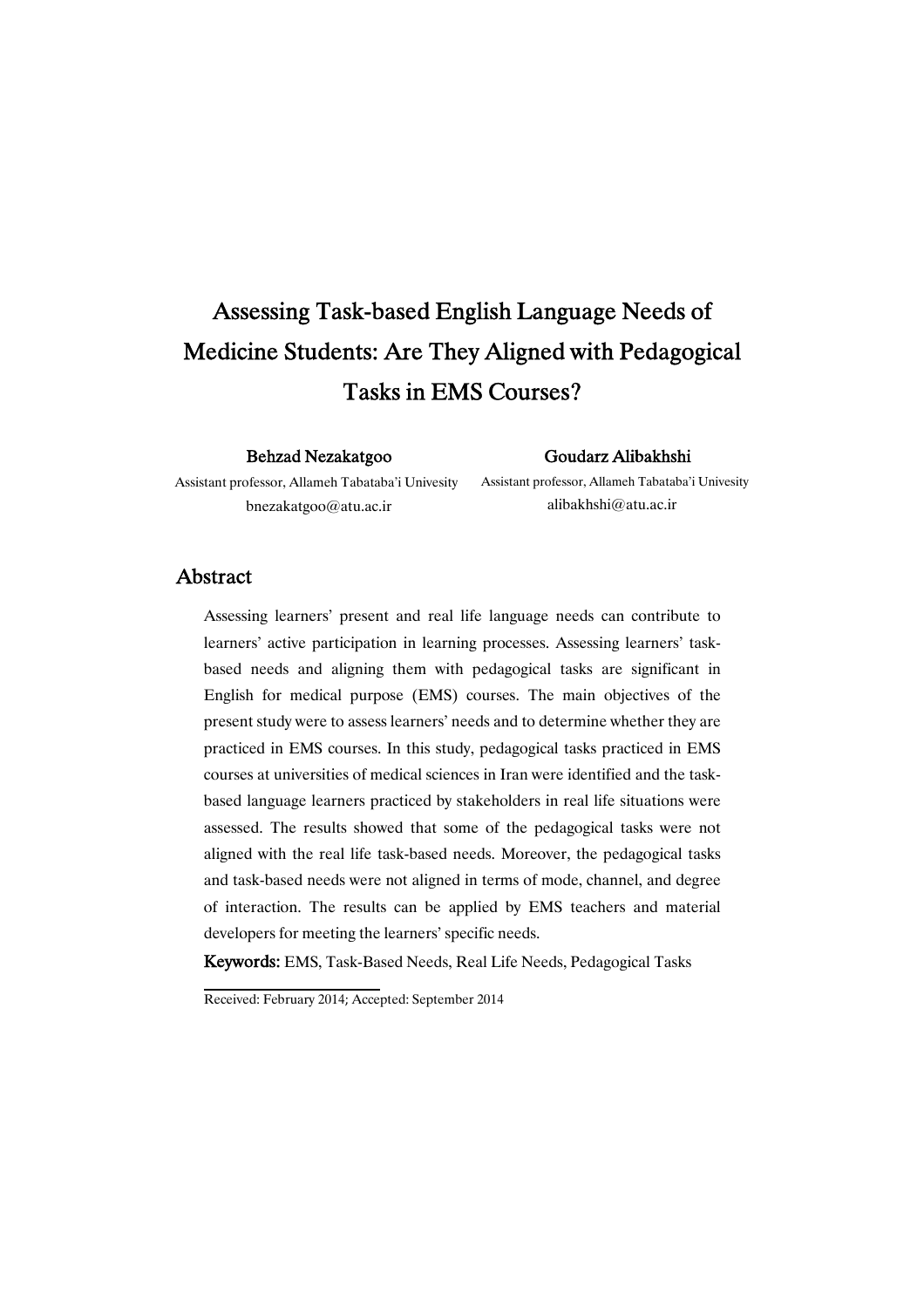# Assessing Task-based English Language Needs of Medicine Students: Are They Aligned with Pedagogical Tasks in EMS Courses?

#### Behzad Nezakatgoo

### GoudarzAlibakhshi

Assistant professor, Allameh Tabataba'i Univesity bnezakatgoo@atu.ac.ir

Assistant professor, Allameh Tabataba'i Univesity alibakhshi@atu.ac.ir

## Abstract

Assessing learners' present and real life language needs can contribute to learners' active participation in learning processes. Assessing learners' taskbased needs and aligning them with pedagogical tasks are significant in English for medical purpose (EMS) courses. The main objectives of the present study were to assess learners' needs and to determine whether they are practiced in EMS courses. In this study, pedagogical tasks practiced in EMS courses at universities of medical sciences in Iran were identified and the taskbased language learners practiced by stakeholders in real life situations were assessed. The results showed that some of the pedagogical tasks were not aligned with the real life task-based needs. Moreover, the pedagogical tasks and task-based needs were not aligned in terms of mode, channel, and degree of interaction. The results can be applied by EMS teachers and material developers for meeting the learners' specific needs.

Keywords: EMS, Task-Based Needs, Real Life Needs, Pedagogical Tasks

Received: February 2014; Accepted: September 2014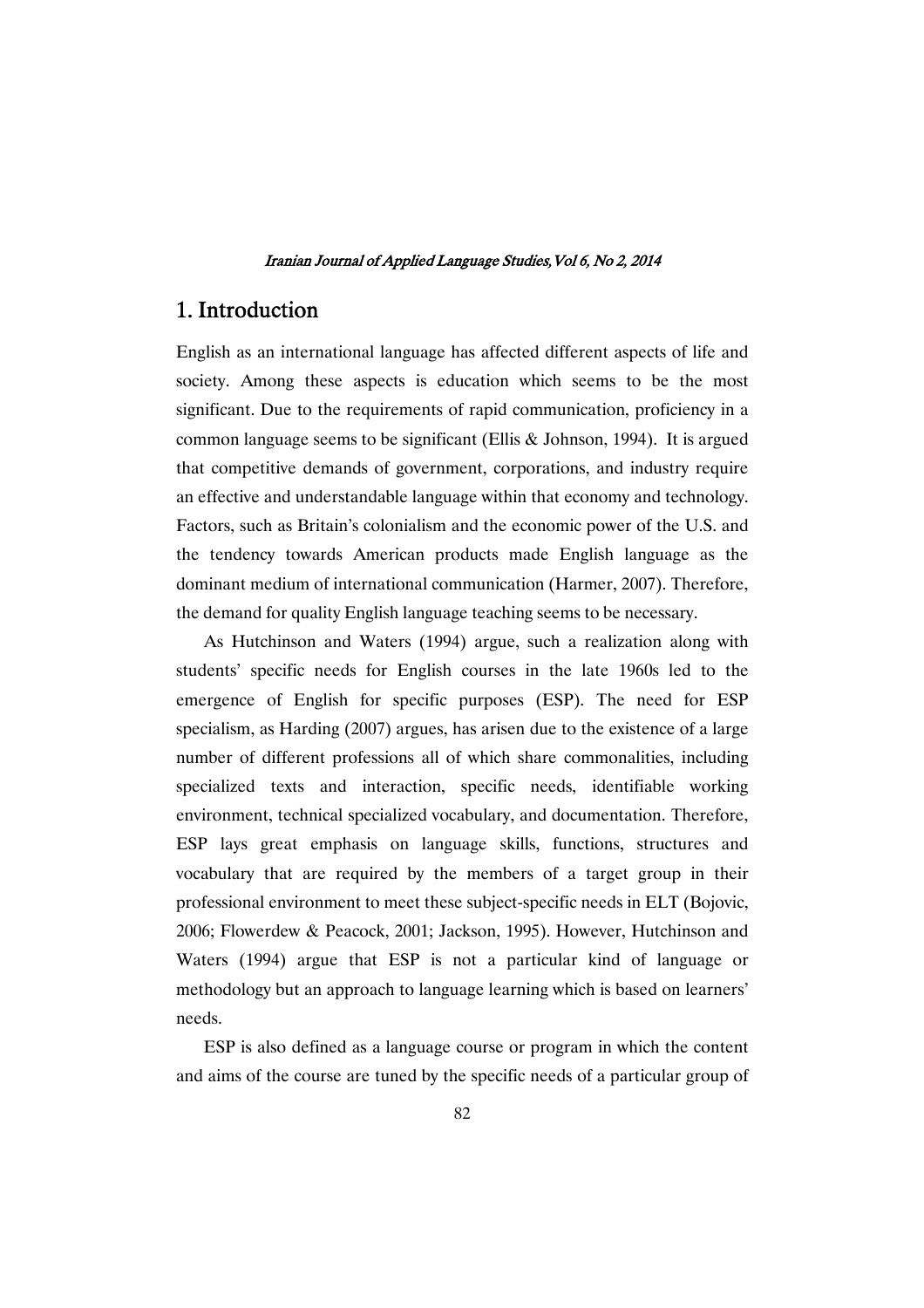# 1. Introduction

English as an international language has affected different aspects of life and society. Among these aspects is education which seems to be the most significant. Due to the requirements of rapid communication, proficiency in a common language seems to be significant (Ellis & Johnson, 1994). It is argued that competitive demands of government, corporations, and industry require an effective and understandable language within that economy and technology. Factors, such as Britain's colonialism and the economic power of the U.S. and the tendency towards American products made English language as the dominant medium of international communication (Harmer, 2007). Therefore, the demand for quality English language teaching seems to be necessary.

As Hutchinson and Waters (1994) argue, such a realization along with students' specific needs for English courses in the late 1960s led to the emergence of English for specific purposes (ESP). The need for ESP specialism, as Harding (2007) argues, has arisen due to the existence of a large number of different professions all of which share commonalities, including specialized texts and interaction, specific needs, identifiable working environment, technical specialized vocabulary, and documentation. Therefore, ESP lays great emphasis on language skills, functions, structures and vocabulary that are required by the members of a target group in their professional environment to meet these subject-specific needs in ELT (Bojovic, 2006; Flowerdew & Peacock, 2001; Jackson, 1995). However, Hutchinson and Waters (1994) argue that ESP is not a particular kind of language or methodology but an approach to language learning which is based on learners' needs.

ESP is also defined as a language course or program in which the content and aims of the course are tuned by the specific needs of a particular group of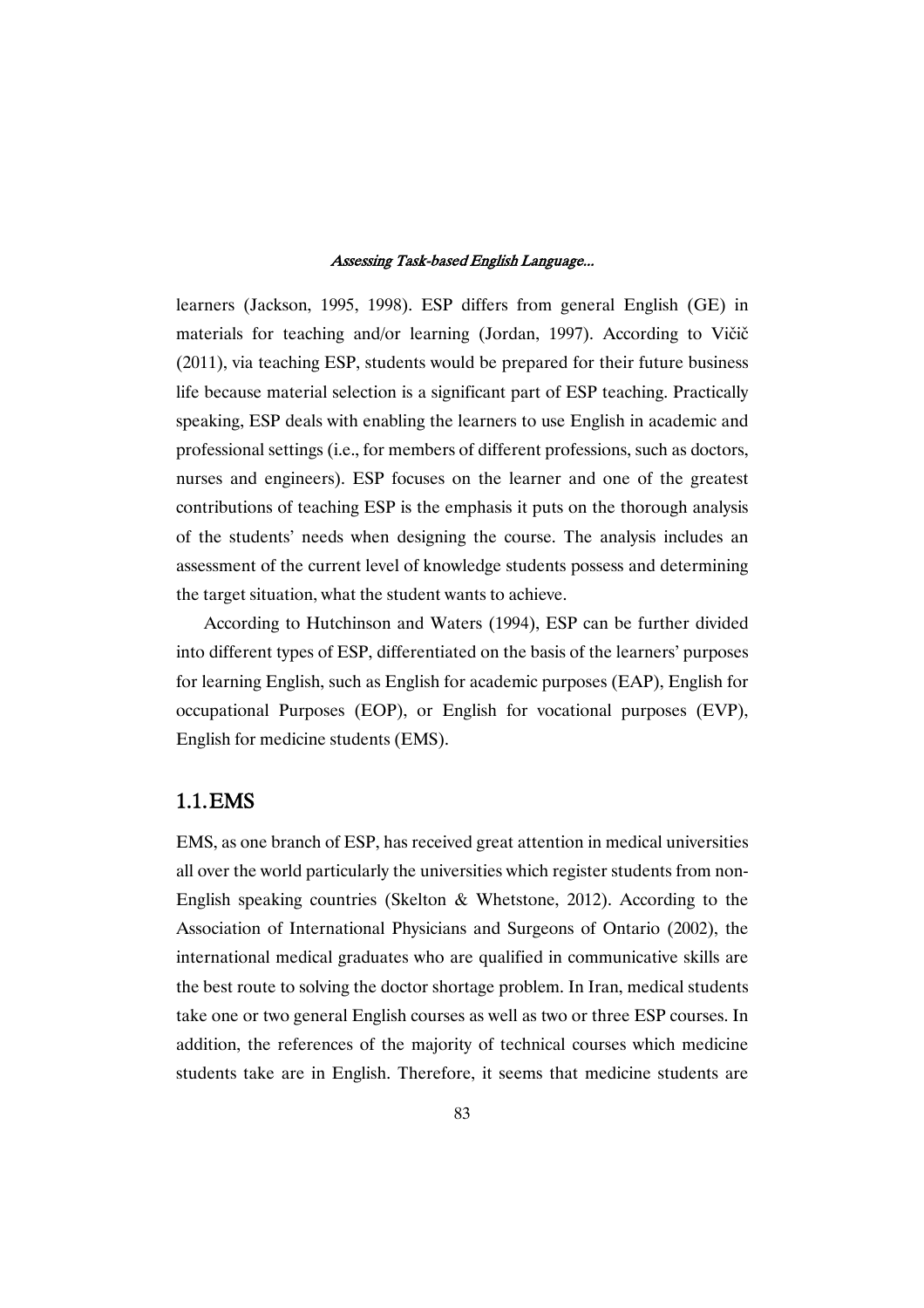learners (Jackson, 1995, 1998). ESP differs from general English (GE) in materials for teaching and/or learning (Jordan, 1997). According to Vičič (2011), via teaching ESP, students would be prepared for their future business life because material selection is a significant part of ESP teaching. Practically speaking, ESP deals with enabling the learners to use English in academic and professional settings (i.e., for members of different professions, such as doctors, nurses and engineers). ESP focuses on the learner and one of the greatest contributions of teaching ESP is the emphasis it puts on the thorough analysis of the students' needs when designing the course. The analysis includes an assessment of the current level of knowledge students possess and determining the target situation, what the student wants to achieve.

According to Hutchinson and Waters (1994), ESP can be further divided into different types of ESP, differentiated on the basis of the learners' purposes for learning English, such as English for academic purposes (EAP), English for occupational Purposes (EOP), or English for vocational purposes (EVP), English for medicine students (EMS).

# 1.1.EMS

EMS, as one branch of ESP, has received great attention in medical universities all over the world particularly the universities which register students from non-English speaking countries (Skelton & Whetstone, 2012). According to the Association of International Physicians and Surgeons of Ontario (2002), the international medical graduates who are qualified in communicative skills are the best route to solving the doctor shortage problem. In Iran, medical students take one or two general English courses as well as two or three ESP courses. In addition, the references of the majority of technical courses which medicine students take are in English. Therefore, it seems that medicine students are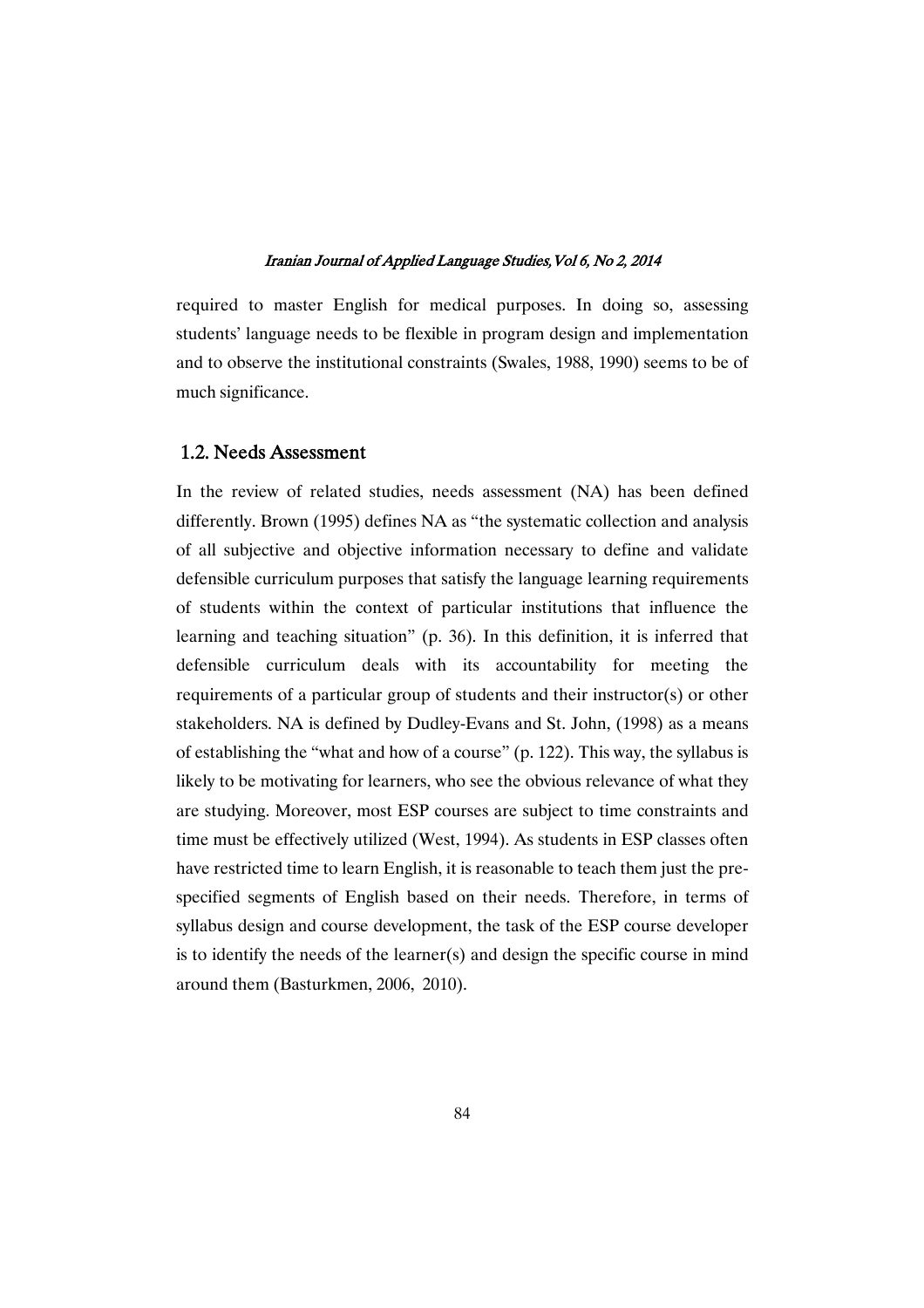required to master English for medical purposes. In doing so, assessing students' language needs to be flexible in program design and implementation and to observe the institutional constraints (Swales, 1988, 1990) seems to be of much significance.

### 1.2. Needs Assessment

In the review of related studies, needs assessment (NA) has been defined differently. Brown (1995) defines NA as "the systematic collection and analysis of all subjective and objective information necessary to define and validate defensible curriculum purposes that satisfy the language learning requirements of students within the context of particular institutions that influence the learning and teaching situation" (p. 36). In this definition, it is inferred that defensible curriculum deals with its accountability for meeting the requirements of a particular group of students and their instructor(s) or other stakeholders. NA is defined by Dudley-Evans and St. John, (1998) as a means of establishing the "what and how of a course" (p. 122). This way, the syllabus is likely to be motivating for learners, who see the obvious relevance of what they are studying. Moreover, most ESP courses are subject to time constraints and time must be effectively utilized (West, 1994). As students in ESP classes often have restricted time to learn English, it is reasonable to teach them just the prespecified segments of English based on their needs. Therefore, in terms of syllabus design and course development, the task of the ESP course developer is to identify the needs of the learner(s) and design the specific course in mind around them (Basturkmen, 2006, 2010).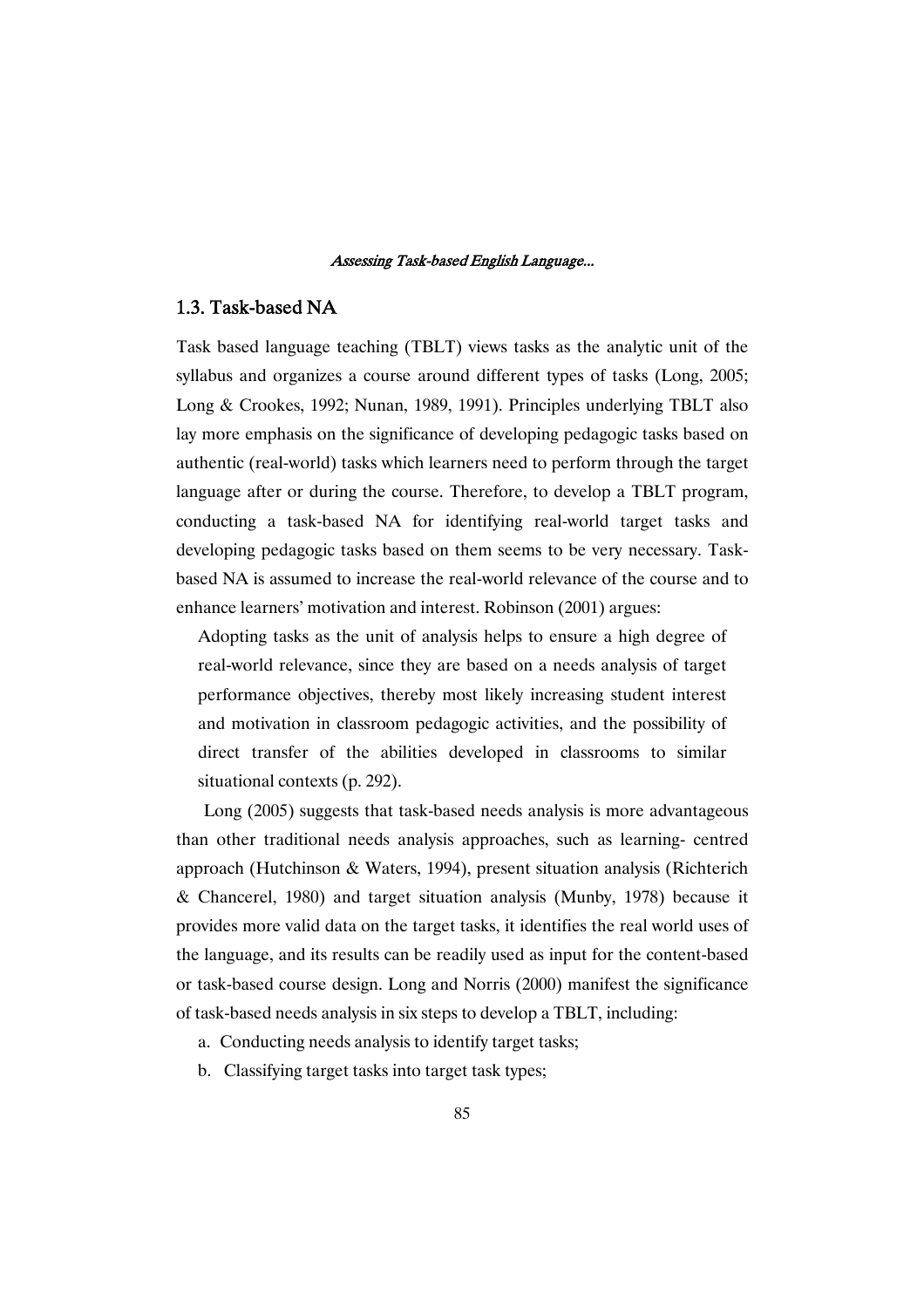### 1.3. Task-based NA

Task based language teaching (TBLT) views tasks as the analytic unit of the syllabus and organizes a course around different types of tasks (Long, 2005; Long & Crookes, 1992; Nunan, 1989, 1991). Principles underlying TBLT also lay more emphasis on the significance of developing pedagogic tasks based on authentic (real-world) tasks which learners need to perform through the target language after or during the course. Therefore, to develop a TBLT program, conducting a task-based NA for identifying real-world target tasks and developing pedagogic tasks based on them seems to be very necessary. Taskbased NA is assumed to increase the real-world relevance of the course and to enhance learners' motivation and interest. Robinson (2001) argues:

Adopting tasks as the unit of analysis helps to ensure a high degree of real-world relevance, since they are based on a needs analysis of target performance objectives, thereby most likely increasing student interest and motivation in classroom pedagogic activities, and the possibility of direct transfer of the abilities developed in classrooms to similar situational contexts (p. 292).

Long (2005) suggests that task-based needs analysis is more advantageous than other traditional needs analysis approaches, such as learning- centred approach (Hutchinson & Waters, 1994), present situation analysis (Richterich & Chancerel, 1980) and target situation analysis (Munby, 1978) because it provides more valid data on the target tasks, it identifies the real world uses of the language, and its results can be readily used as input for the content-based or task-based course design. Long and Norris (2000) manifest the significance of task-based needs analysis in six steps to develop a TBLT, including:

- a. Conducting needs analysis to identify target tasks;
- b. Classifying target tasks into target task types;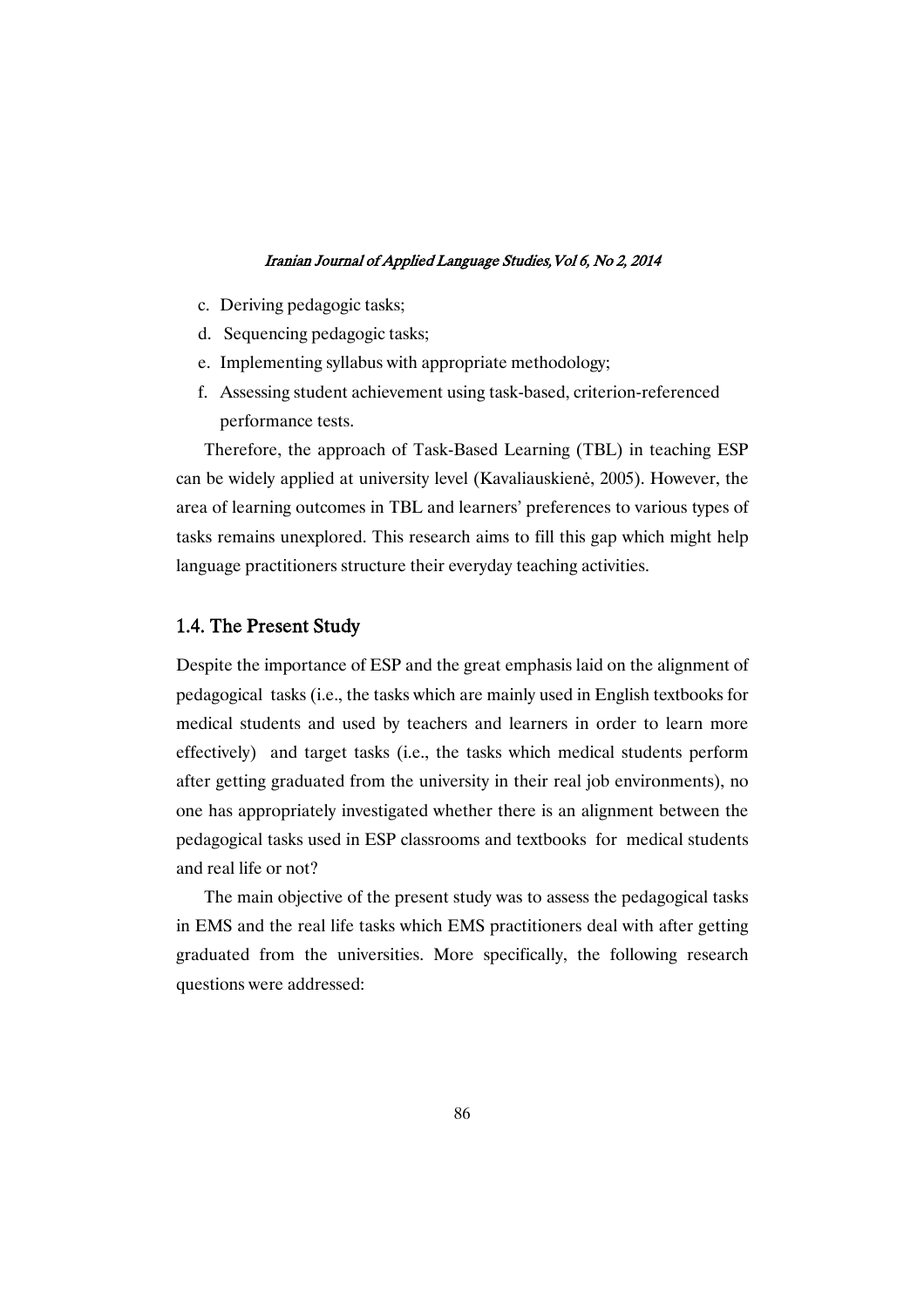- c. Deriving pedagogic tasks;
- d. Sequencing pedagogic tasks;
- e. Implementing syllabus with appropriate methodology;
- f. Assessing student achievement using task-based, criterion-referenced performance tests.

Therefore, the approach of Task-Based Learning (TBL) in teaching ESP can be widely applied at university level (Kavaliauskienė, 2005). However, the area of learning outcomes in TBL and learners' preferences to various types of tasks remains unexplored. This research aims to fill this gap which might help language practitioners structure their everyday teaching activities.

# 1.4. The Present Study

Despite the importance of ESP and the great emphasis laid on the alignment of pedagogical tasks (i.e., the tasks which are mainly used in English textbooks for medical students and used by teachers and learners in order to learn more effectively) and target tasks (i.e., the tasks which medical students perform after getting graduated from the university in their real job environments), no one has appropriately investigated whether there is an alignment between the pedagogical tasks used in ESP classrooms and textbooks for medical students and real life or not?

The main objective of the present study was to assess the pedagogical tasks in EMS and the real life tasks which EMS practitioners deal with after getting graduated from the universities. More specifically, the following research questions were addressed: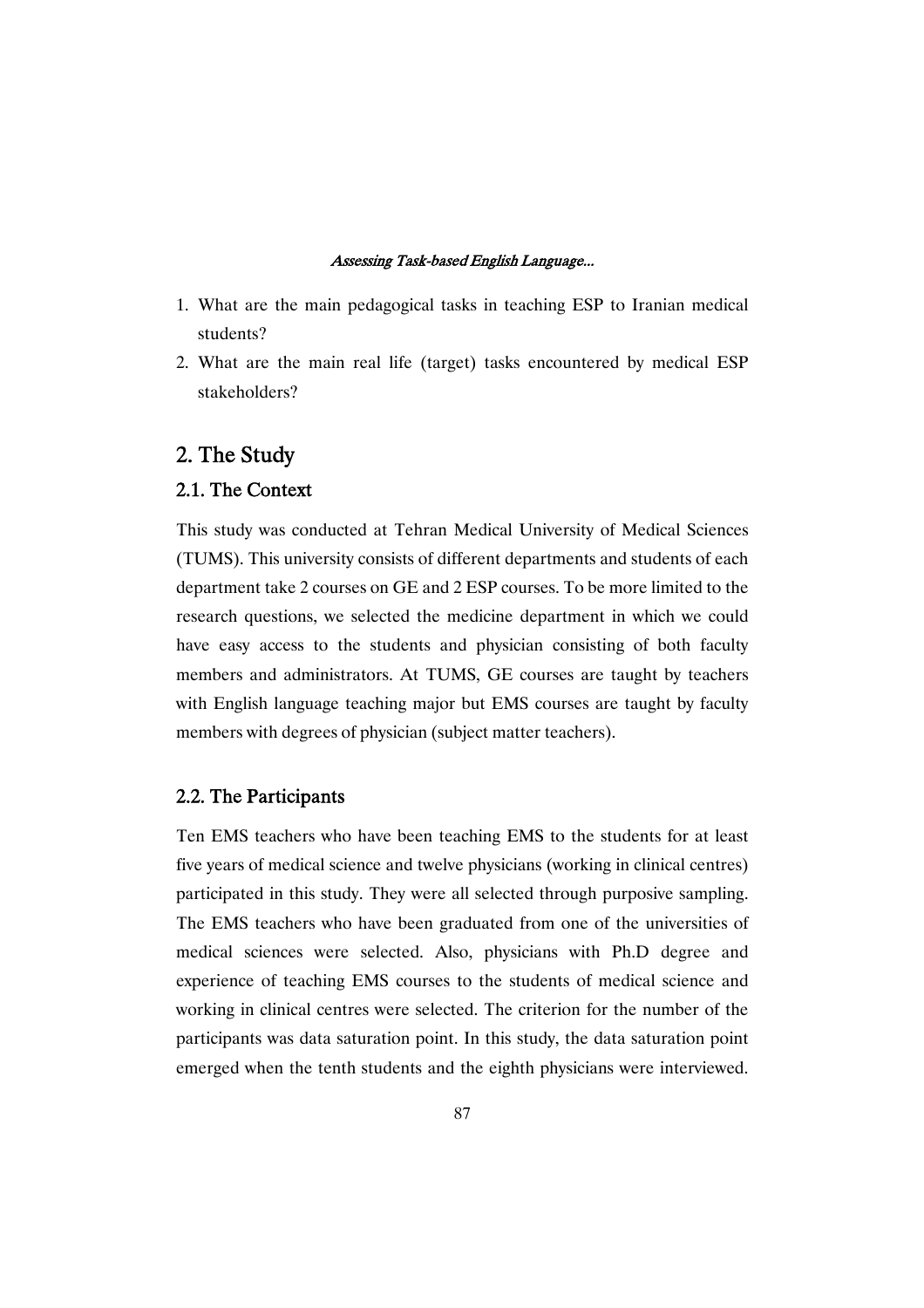- 1. What are the main pedagogical tasks in teaching ESP to Iranian medical students?
- 2. What are the main real life (target) tasks encountered by medical ESP stakeholders?

# 2. The Study

# 2.1. The Context

This study was conducted at Tehran Medical University of Medical Sciences (TUMS). This university consists of different departments and students of each department take 2 courses on GE and 2 ESP courses. To be more limited to the research questions, we selected the medicine department in which we could have easy access to the students and physician consisting of both faculty members and administrators. At TUMS, GE courses are taught by teachers with English language teaching major but EMS courses are taught by faculty members with degrees of physician (subject matter teachers).

### 2.2. The Participants

Ten EMS teachers who have been teaching EMS to the students for at least five years of medical science and twelve physicians (working in clinical centres) participated in this study. They were all selected through purposive sampling. The EMS teachers who have been graduated from one of the universities of medical sciences were selected. Also, physicians with Ph.D degree and experience of teaching EMS courses to the students of medical science and working in clinical centres were selected. The criterion for the number of the participants was data saturation point. In this study, the data saturation point emerged when the tenth students and the eighth physicians were interviewed.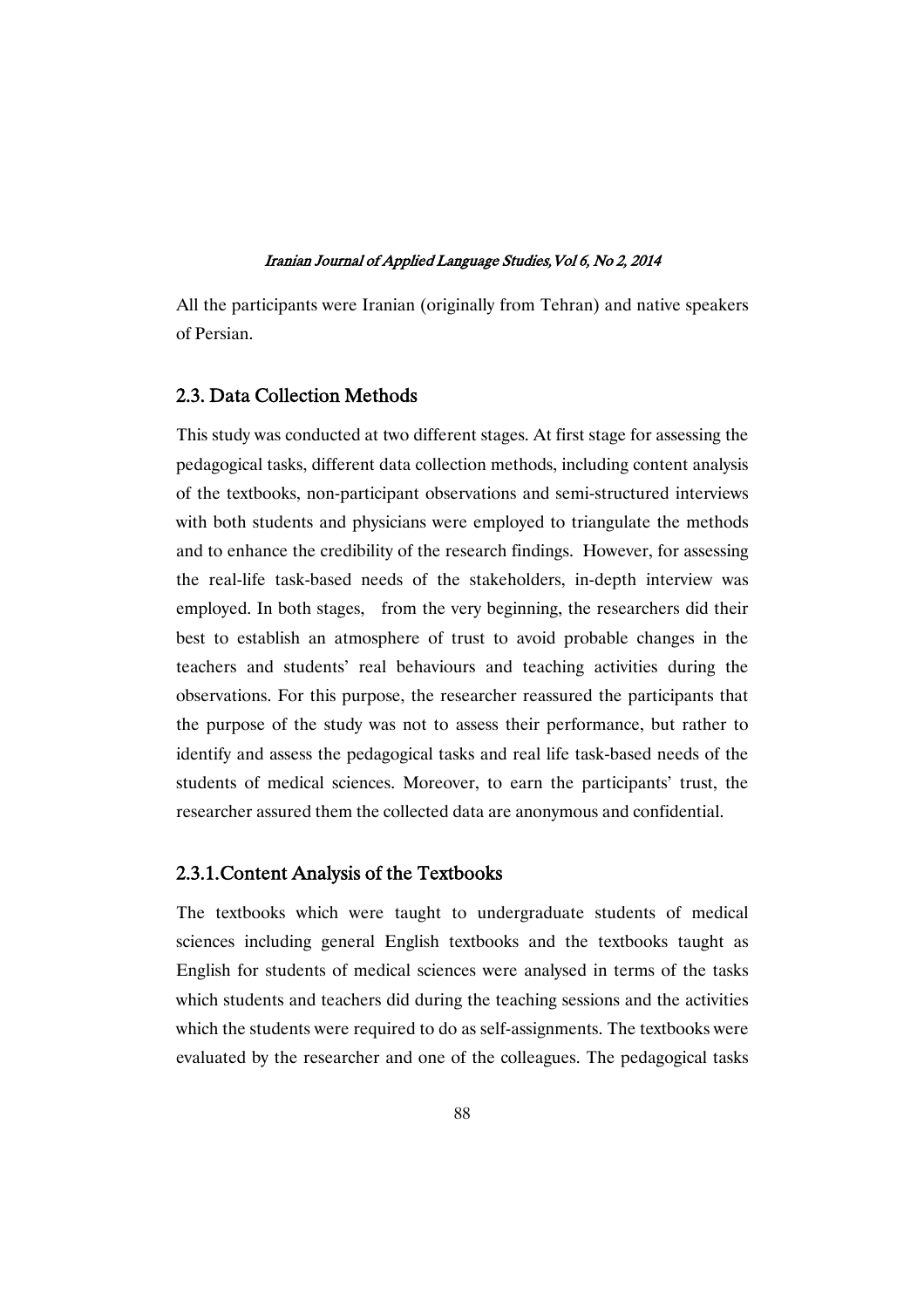All the participants were Iranian (originally from Tehran) and native speakers of Persian.

# 2.3. Data Collection Methods

This study was conducted at two different stages. At first stage for assessing the pedagogical tasks, different data collection methods, including content analysis of the textbooks, non-participant observations and semi-structured interviews with both students and physicians were employed to triangulate the methods and to enhance the credibility of the research findings. However, for assessing the real-life task-based needs of the stakeholders, in-depth interview was employed. In both stages, from the very beginning, the researchers did their best to establish an atmosphere of trust to avoid probable changes in the teachers and students' real behaviours and teaching activities during the observations. For this purpose, the researcher reassured the participants that the purpose of the study was not to assess their performance, but rather to identify and assess the pedagogical tasks and real life task-based needs of the students of medical sciences. Moreover, to earn the participants' trust, the researcher assured them the collected data are anonymous and confidential.

### 2.3.1. Content Analysis of the Textbooks

The textbooks which were taught to undergraduate students of medical sciences including general English textbooks and the textbooks taught as English for students of medical sciences were analysed in terms of the tasks which students and teachers did during the teaching sessions and the activities which the students were required to do as self-assignments. The textbooks were evaluated by the researcher and one of the colleagues. The pedagogical tasks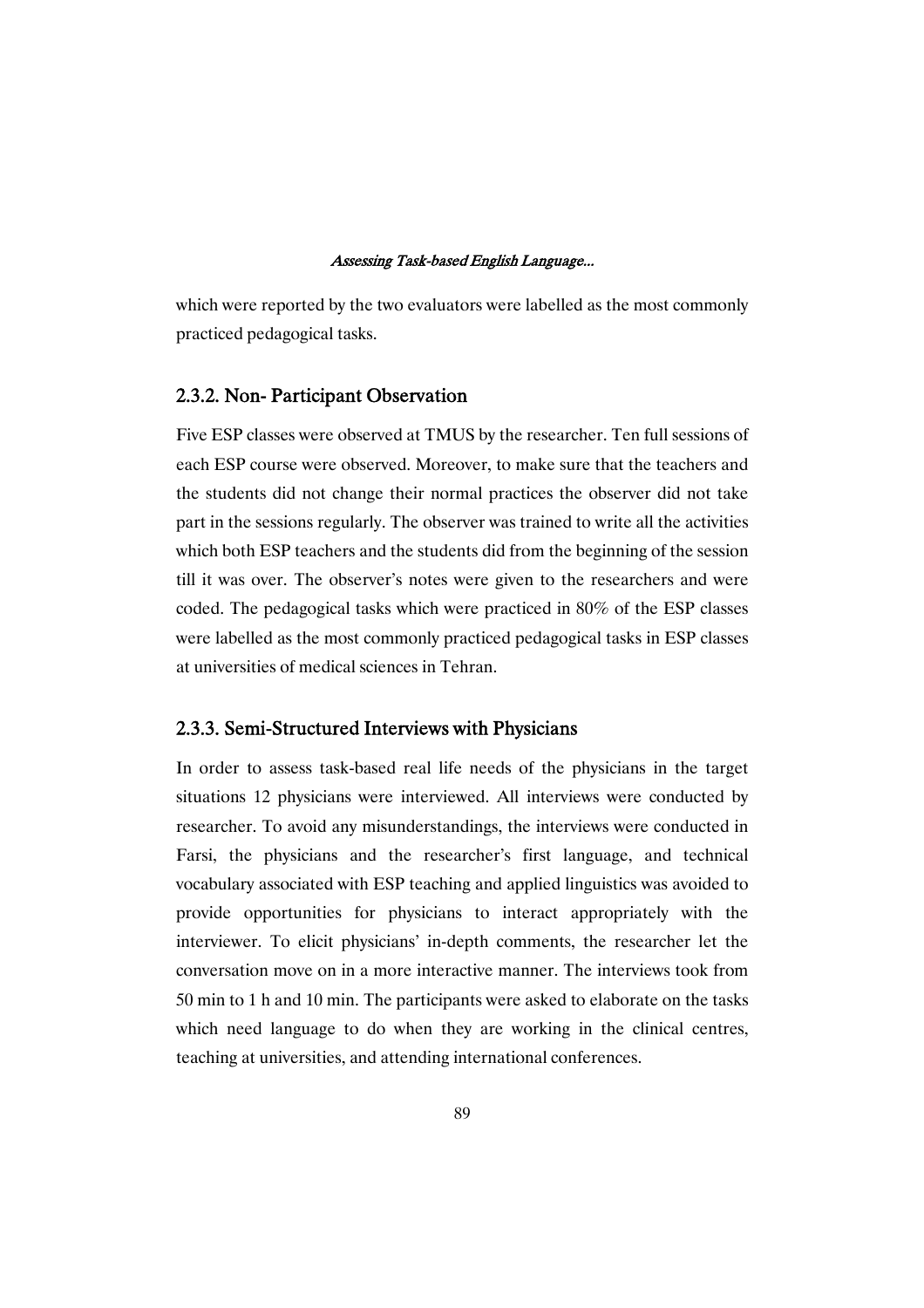which were reported by the two evaluators were labelled as the most commonly practiced pedagogical tasks.

### 2.3.2. Non-Participant Observation

Five ESP classes were observed at TMUS by the researcher. Ten full sessions of each ESP course were observed. Moreover, to make sure that the teachers and the students did not change their normal practices the observer did not take part in the sessions regularly. The observer was trained to write all the activities which both ESP teachers and the students did from the beginning of the session till it was over. The observer's notes were given to the researchers and were coded. The pedagogical tasks which were practiced in 80% of the ESP classes were labelled as the most commonly practiced pedagogical tasks in ESP classes at universities of medical sciences in Tehran.

### 2.3.3. Semi-Structured Interviews with Physicians

In order to assess task-based real life needs of the physicians in the target situations 12 physicians were interviewed. All interviews were conducted by researcher. To avoid any misunderstandings, the interviews were conducted in Farsi, the physicians and the researcher's first language, and technical vocabulary associated with ESP teaching and applied linguistics was avoided to provide opportunities for physicians to interact appropriately with the interviewer. To elicit physicians' in-depth comments, the researcher let the conversation move on in a more interactive manner. The interviews took from 50 min to 1 h and 10 min. The participants were asked to elaborate on the tasks which need language to do when they are working in the clinical centres, teaching at universities, and attending international conferences.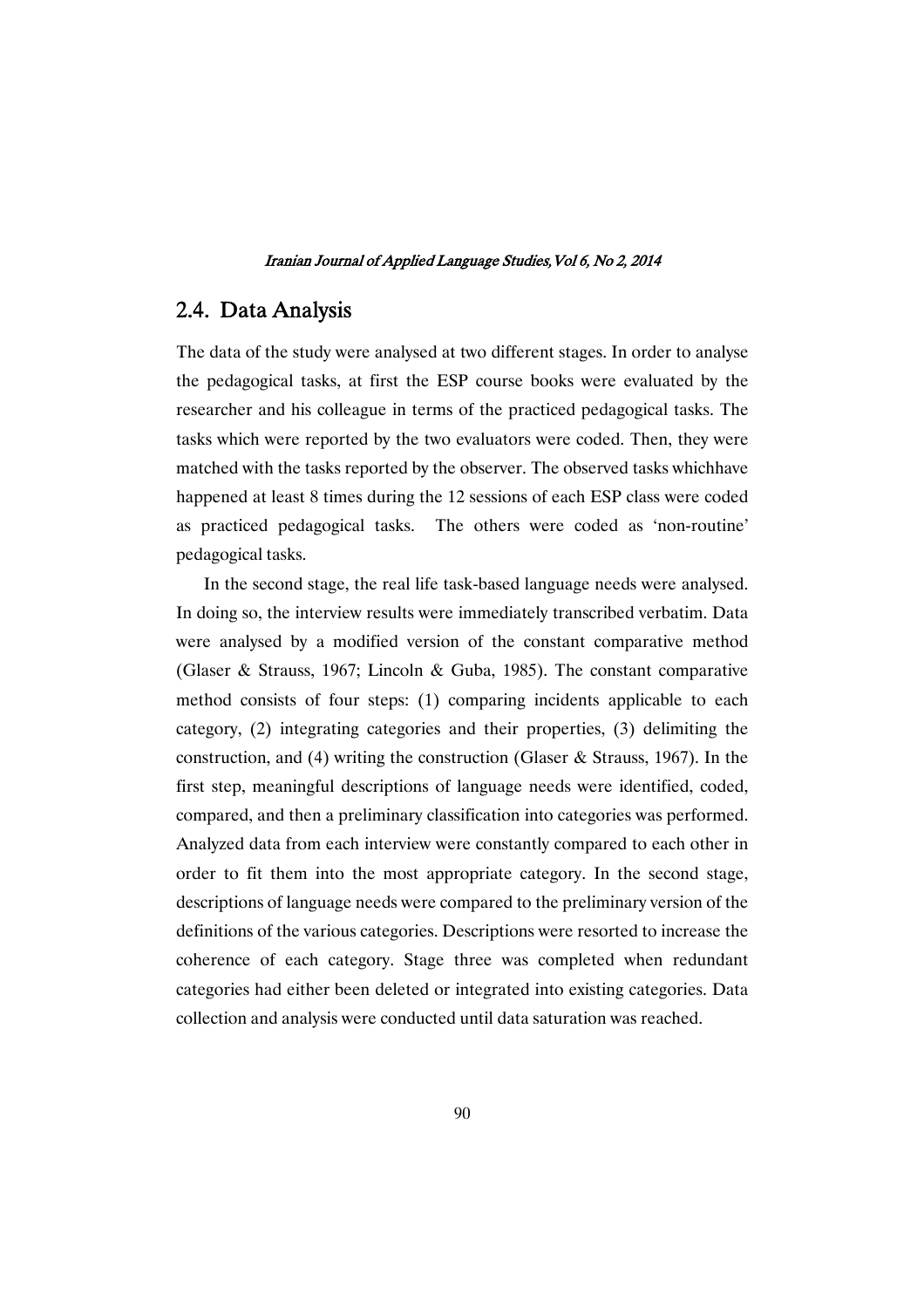# 2.4. Data Analysis

The data of the study were analysed at two different stages. In order to analyse the pedagogical tasks, at first the ESP course books were evaluated by the researcher and his colleague in terms of the practiced pedagogical tasks. The tasks which were reported by the two evaluators were coded. Then, they were matched with the tasks reported by the observer. The observed tasks whichhave happened at least 8 times during the 12 sessions of each ESP class were coded as practiced pedagogical tasks. The others were coded as 'non-routine' pedagogical tasks.

In the second stage, the real life task-based language needs were analysed. In doing so, the interview results were immediately transcribed verbatim. Data were analysed by a modified version of the constant comparative method (Glaser & Strauss, 1967; Lincoln & Guba, 1985). The constant comparative method consists of four steps: (1) comparing incidents applicable to each category, (2) integrating categories and their properties, (3) delimiting the construction, and (4) writing the construction (Glaser & Strauss, 1967). In the first step, meaningful descriptions of language needs were identified, coded, compared, and then a preliminary classification into categories was performed. Analyzed data from each interview were constantly compared to each other in order to fit them into the most appropriate category. In the second stage, descriptions of language needs were compared to the preliminary version of the definitions of the various categories. Descriptions were resorted to increase the coherence of each category. Stage three was completed when redundant categories had either been deleted or integrated into existing categories. Data collection and analysis were conducted until data saturation was reached.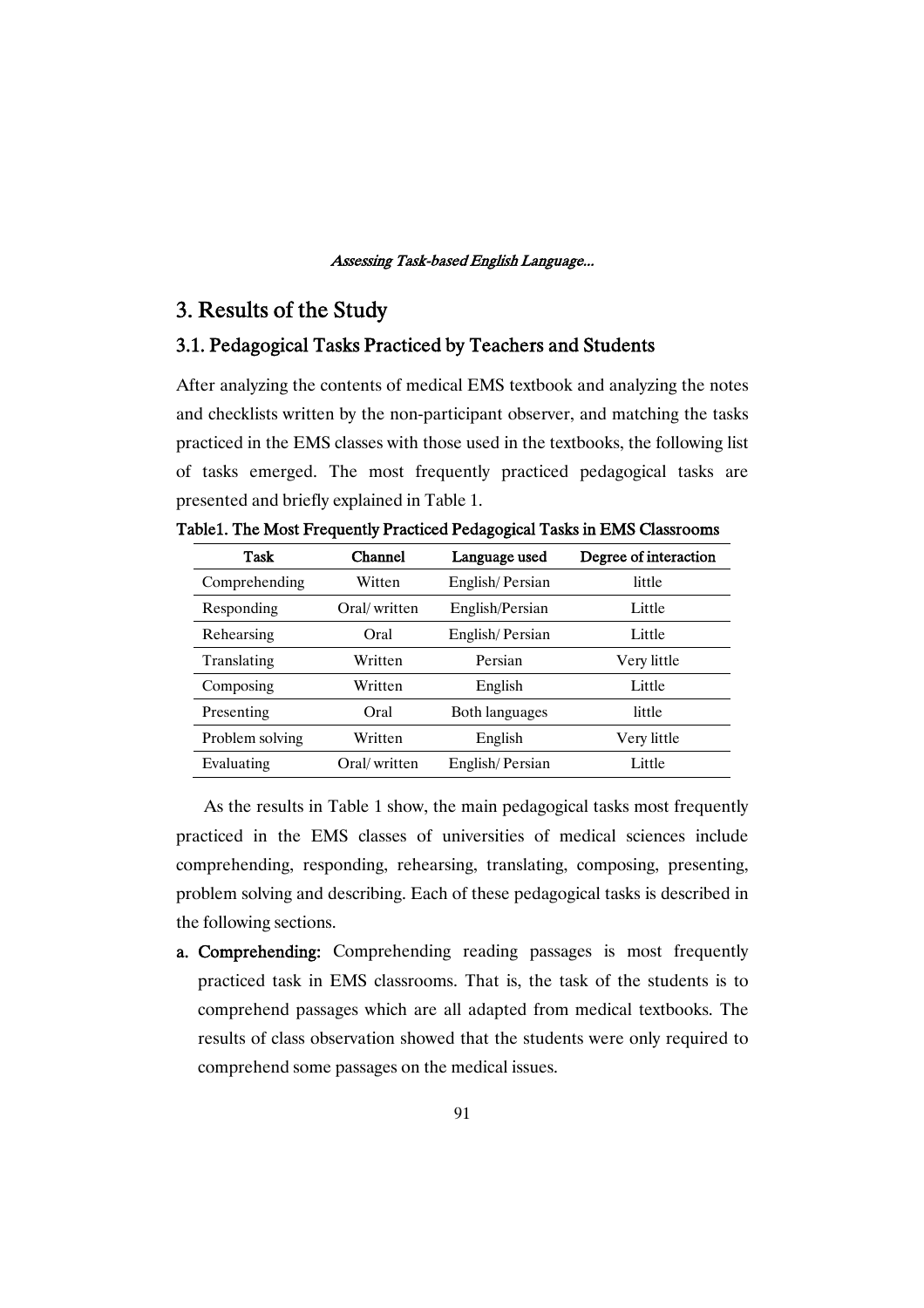# 3. Results of the Study

# 3.1. Pedagogical Tasks Practiced by Teachers and Students

After analyzing the contents of medical EMS textbook and analyzing the notes and checklists written by the non-participant observer, and matching the tasks practiced in the EMS classes with those used in the textbooks, the following list of tasks emerged. The most frequently practiced pedagogical tasks are presented and briefly explained in Table 1.

| Task            | Channel      | Language used   | Degree of interaction |
|-----------------|--------------|-----------------|-----------------------|
| Comprehending   | Witten       | English/Persian | little                |
| Responding      | Oral/written | English/Persian | Little                |
| Rehearsing      | Oral         | English/Persian | Little                |
| Translating     | Written      | Persian         | Very little           |
| Composing       | Written      | English         | Little                |
| Presenting      | Oral         | Both languages  | little                |
| Problem solving | Written      | English         | Very little           |
| Evaluating      | Oral/written | English/Persian | Little                |

Table1. The Most Frequently Practiced Pedagogical Tasks in EMS Classrooms

As the results in Table 1 show, the main pedagogical tasks most frequently practiced in the EMS classes of universities of medical sciences include comprehending, responding, rehearsing, translating, composing, presenting, problem solving and describing. Each of these pedagogical tasks is described in the following sections.

a. Comprehending: Comprehending reading passages is most frequently practiced task in EMS classrooms. That is, the task of the students is to comprehend passages which are all adapted from medical textbooks. The results of class observation showed that the students were only required to comprehend some passages on the medical issues.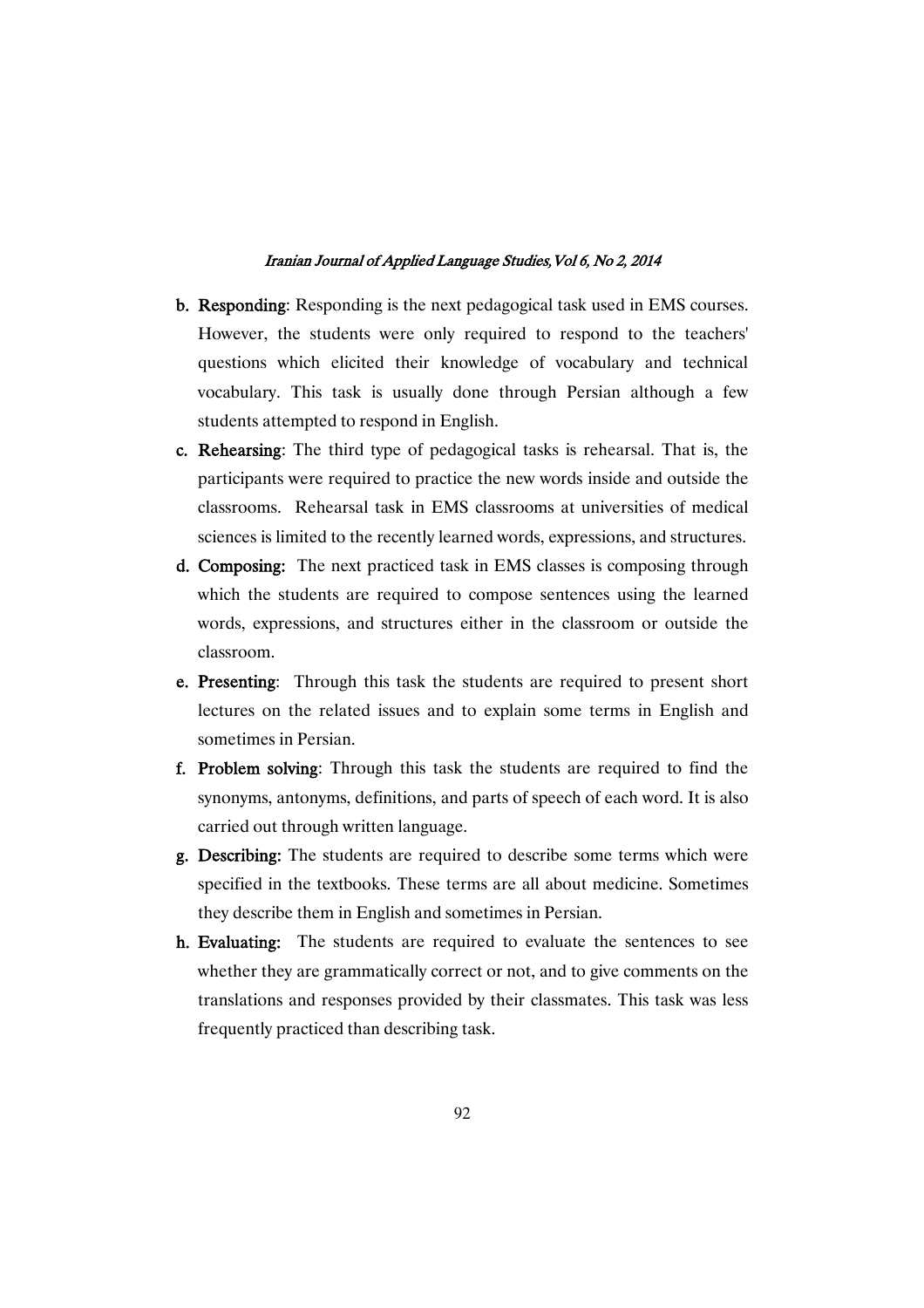- b. Responding: Responding is the next pedagogical task used in EMS courses. However, the students were only required to respond to the teachers' questions which elicited their knowledge of vocabulary and technical vocabulary. This task is usually done through Persian although a few students attempted to respond in English.
- c. Rehearsing: The third type of pedagogical tasks is rehearsal. That is, the participants were required to practice the new words inside and outside the classrooms. Rehearsal task in EMS classrooms at universities of medical sciences is limited to the recently learned words, expressions, and structures.
- d. Composing: The next practiced task in EMS classes is composing through which the students are required to compose sentences using the learned words, expressions, and structures either in the classroom or outside the classroom.
- e. Presenting: Through this task the students are required to present short lectures on the related issues and to explain some terms in English and sometimes in Persian.
- f. Problem solving: Through this task the students are required to find the synonyms, antonyms, definitions, and parts of speech of each word. It is also carried out through written language.
- g. Describing: The students are required to describe some terms which were specified in the textbooks. These terms are all about medicine. Sometimes they describe them in English and sometimes in Persian.
- h. Evaluating: The students are required to evaluate the sentences to see whether they are grammatically correct or not, and to give comments on the translations and responses provided by their classmates. This task was less frequently practiced than describing task.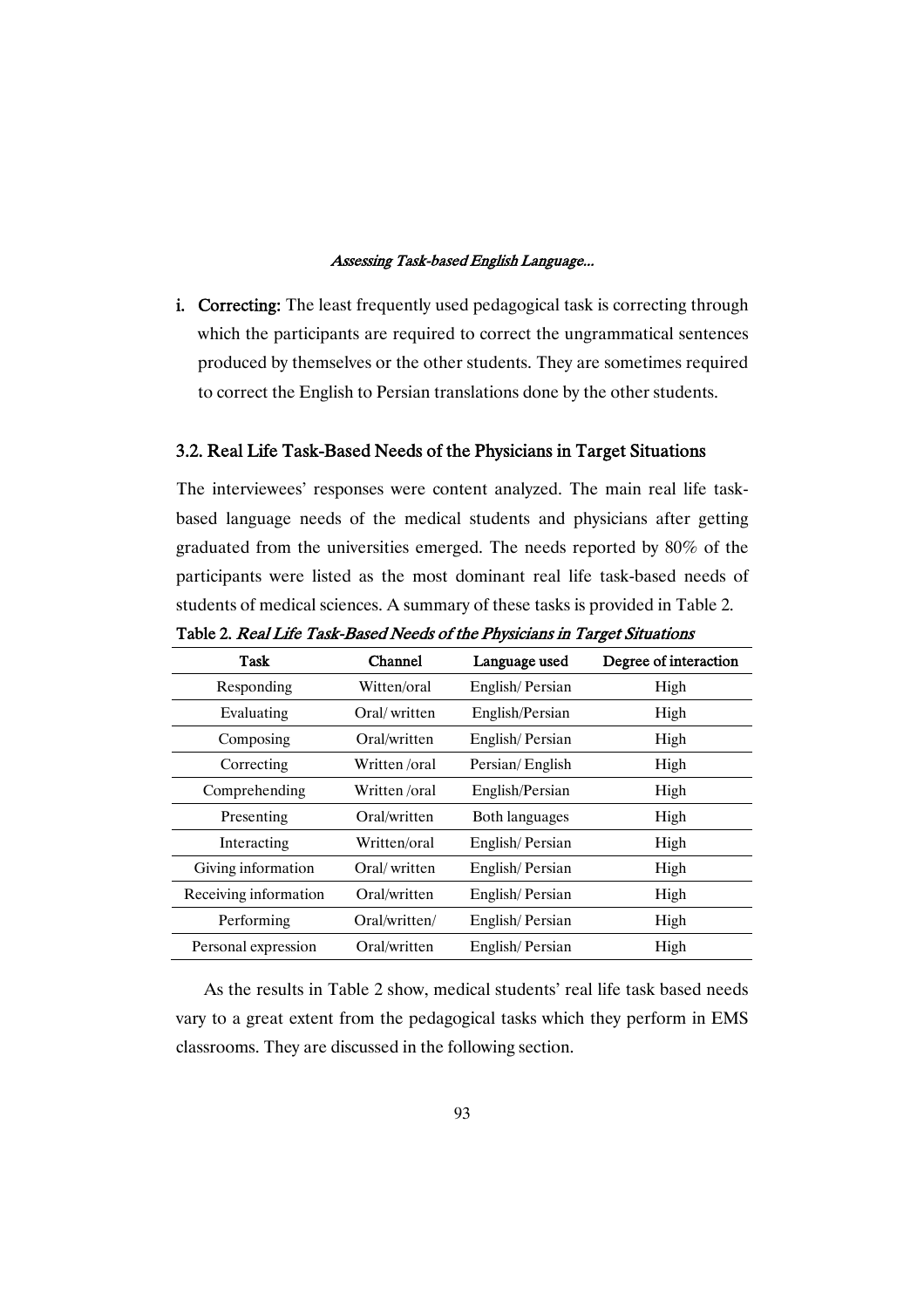i. Correcting: The least frequently used pedagogical task is correcting through which the participants are required to correct the ungrammatical sentences produced by themselves or the other students. They are sometimes required to correct the English to Persian translations done by the other students.

### 3.2. Real Life Task-Based Needs of the Physicians in Target Situations

The interviewees' responses were content analyzed. The main real life taskbased language needs of the medical students and physicians after getting graduated from the universities emerged. The needs reported by 80% of the participants were listed as the most dominant real life task-based needs of students of medical sciences. A summary of these tasks is provided in Table 2.

| <b>Task</b>           | Channel       | Language used   | Degree of interaction |
|-----------------------|---------------|-----------------|-----------------------|
| Responding            | Witten/oral   | English/Persian | High                  |
| Evaluating            | Oral/written  | English/Persian | High                  |
| Composing             | Oral/written  | English/Persian | High                  |
| Correcting            | Written/oral  | Persian/English | High                  |
| Comprehending         | Written/oral  | English/Persian | High                  |
| Presenting            | Oral/written  | Both languages  | High                  |
| Interacting           | Written/oral  | English/Persian | High                  |
| Giving information    | Oral/written  | English/Persian | High                  |
| Receiving information | Oral/written  | English/Persian | High                  |
| Performing            | Oral/written/ | English/Persian | High                  |
| Personal expression   | Oral/written  | English/Persian | High                  |

Table 2. Real Life Task-Based Needs of the Physicians in Target Situations

As the results in Table 2 show, medical students' real life task based needs vary to a great extent from the pedagogical tasks which they perform in EMS classrooms. They are discussed in the following section.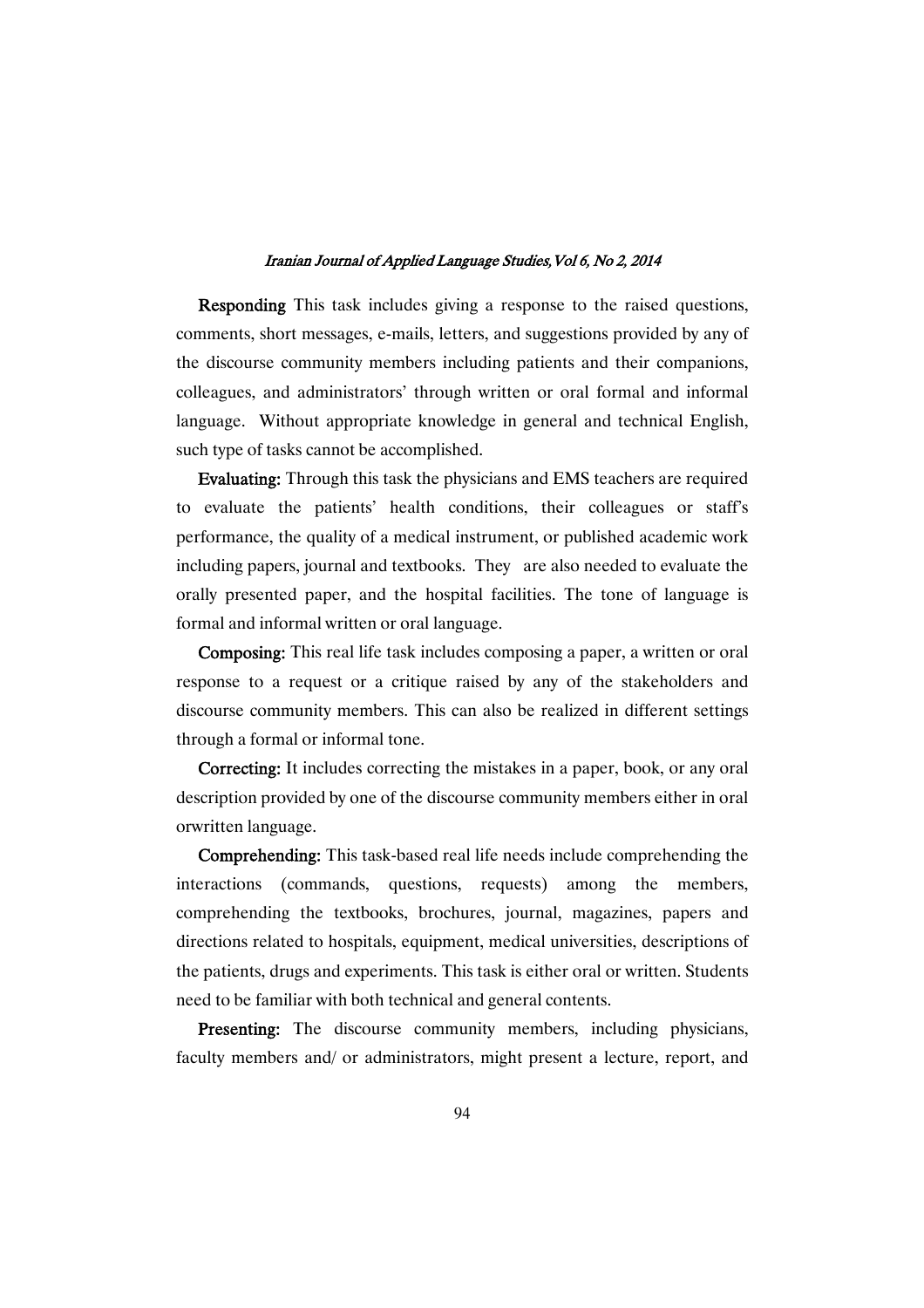Responding This task includes giving a response to the raised questions, comments, short messages, e-mails, letters, and suggestions provided by any of the discourse community members including patients and their companions, colleagues, and administrators' through written or oral formal and informal language. Without appropriate knowledge in general and technical English, such type of tasks cannot be accomplished.

Evaluating: Through this task the physicians and EMS teachers are required to evaluate the patients' health conditions, their colleagues or staff's performance, the quality of a medical instrument, or published academic work including papers, journal and textbooks. They are also needed to evaluate the orally presented paper, and the hospital facilities. The tone of language is formal and informal written or oral language.

Composing: This real life task includes composing a paper, a written or oral response to a request or a critique raised by any of the stakeholders and discourse community members. This can also be realized in different settings through a formal or informal tone.

Correcting: It includes correcting the mistakes in a paper, book, or any oral description provided by one of the discourse community members either in oral orwritten language.

Comprehending: This task-based real life needs include comprehending the interactions (commands, questions, requests) among the members, comprehending the textbooks, brochures, journal, magazines, papers and directions related to hospitals, equipment, medical universities, descriptions of the patients, drugs and experiments. This task is either oral or written. Students need to be familiar with both technical and general contents.

Presenting: The discourse community members, including physicians, faculty members and/ or administrators, might present a lecture, report, and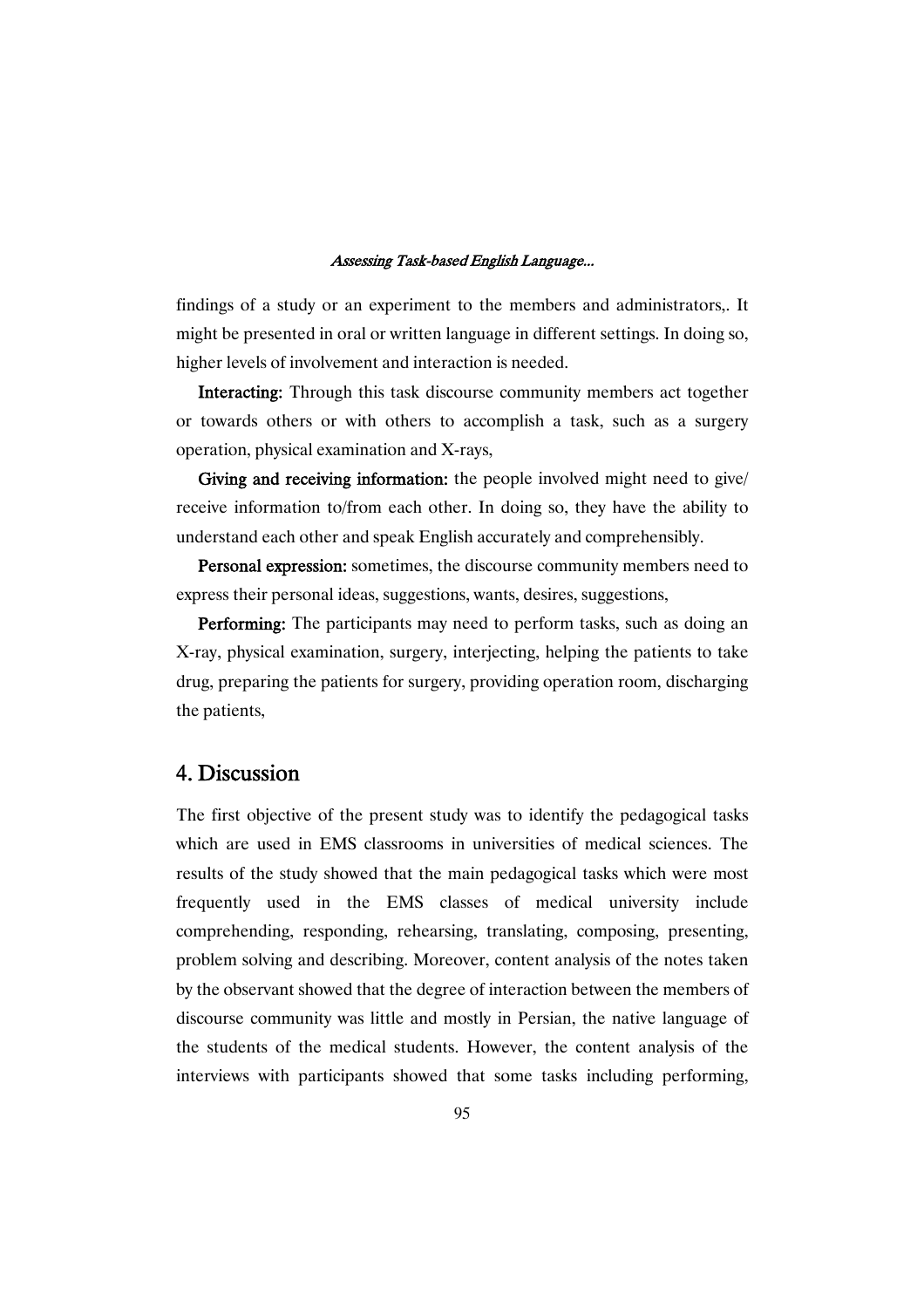findings of a study or an experiment to the members and administrators,. It might be presented in oral or written language in different settings. In doing so, higher levels of involvement and interaction is needed.

Interacting: Through this task discourse community members act together or towards others or with others to accomplish a task, such as a surgery operation, physical examination and X-rays,

Giving and receiving information: the people involved might need to give/ receive information to/from each other. In doing so, they have the ability to understand each other and speak English accurately and comprehensibly.

Personal expression: sometimes, the discourse community members need to express their personal ideas, suggestions, wants, desires, suggestions,

Performing: The participants may need to perform tasks, such as doing an X-ray, physical examination, surgery, interjecting, helping the patients to take drug, preparing the patients for surgery, providing operation room, discharging the patients,

# 4.Discussion

The first objective of the present study was to identify the pedagogical tasks which are used in EMS classrooms in universities of medical sciences. The results of the study showed that the main pedagogical tasks which were most frequently used in the EMS classes of medical university include comprehending, responding, rehearsing, translating, composing, presenting, problem solving and describing. Moreover, content analysis of the notes taken by the observant showed that the degree of interaction between the members of discourse community was little and mostly in Persian, the native language of the students of the medical students. However, the content analysis of the interviews with participants showed that some tasks including performing,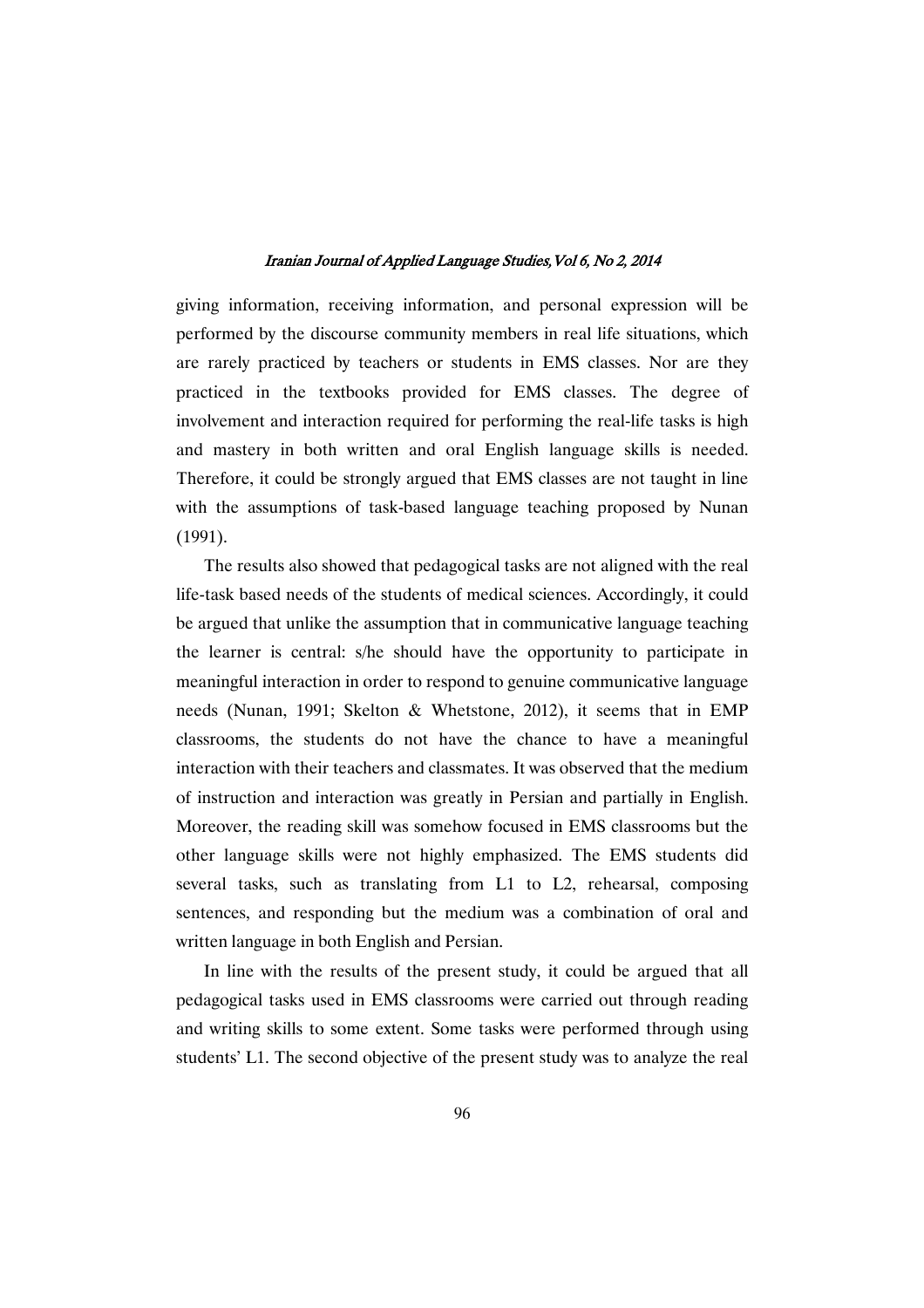giving information, receiving information, and personal expression will be performed by the discourse community members in real life situations, which are rarely practiced by teachers or students in EMS classes. Nor are they practiced in the textbooks provided for EMS classes. The degree of involvement and interaction required for performing the real-life tasks is high and mastery in both written and oral English language skills is needed. Therefore, it could be strongly argued that EMS classes are not taught in line with the assumptions of task-based language teaching proposed by Nunan (1991).

The results also showed that pedagogical tasks are not aligned with the real life-task based needs of the students of medical sciences. Accordingly, it could be argued that unlike the assumption that in communicative language teaching the learner is central: s/he should have the opportunity to participate in meaningful interaction in order to respond to genuine communicative language needs (Nunan, 1991; Skelton & Whetstone, 2012), it seems that in EMP classrooms, the students do not have the chance to have a meaningful interaction with their teachers and classmates. It was observed that the medium of instruction and interaction was greatly in Persian and partially in English. Moreover, the reading skill was somehow focused in EMS classrooms but the other language skills were not highly emphasized. The EMS students did several tasks, such as translating from L1 to L2, rehearsal, composing sentences, and responding but the medium was a combination of oral and written language in both English and Persian.

In line with the results of the present study, it could be argued that all pedagogical tasks used in EMS classrooms were carried out through reading and writing skills to some extent. Some tasks were performed through using students' L1. The second objective of the present study was to analyze the real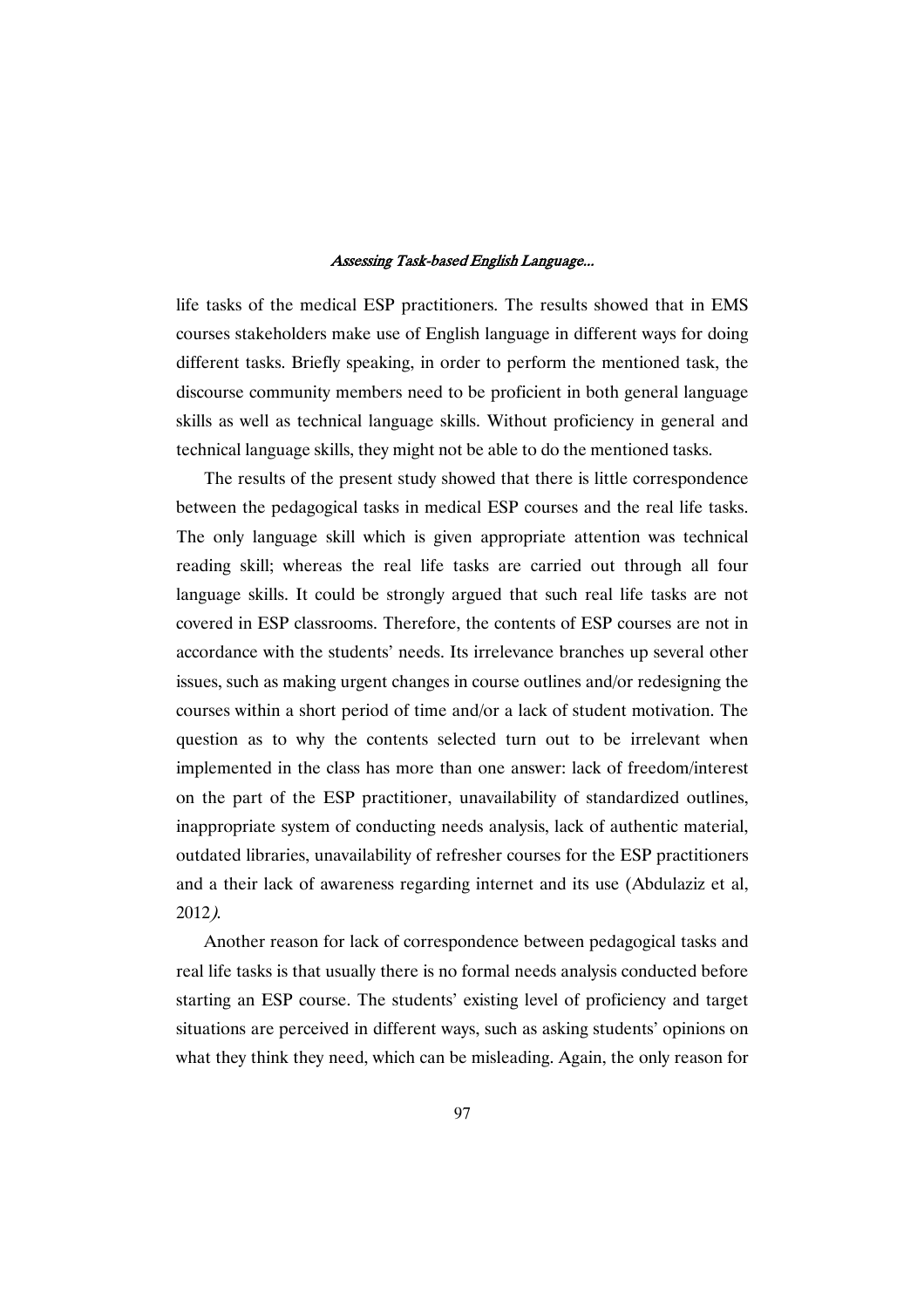life tasks of the medical ESP practitioners. The results showed that in EMS courses stakeholders make use of English language in different ways for doing different tasks. Briefly speaking, in order to perform the mentioned task, the discourse community members need to be proficient in both general language skills as well as technical language skills. Without proficiency in general and technical language skills, they might not be able to do the mentioned tasks.

The results of the present study showed that there is little correspondence between the pedagogical tasks in medical ESP courses and the real life tasks. The only language skill which is given appropriate attention was technical reading skill; whereas the real life tasks are carried out through all four language skills. It could be strongly argued that such real life tasks are not covered in ESP classrooms. Therefore, the contents of ESP courses are not in accordance with the students' needs. Its irrelevance branches up several other issues, such as making urgent changes in course outlines and/or redesigning the courses within a short period of time and/or a lack of student motivation. The question as to why the contents selected turn out to be irrelevant when implemented in the class has more than one answer: lack of freedom/interest on the part of the ESP practitioner, unavailability of standardized outlines, inappropriate system of conducting needs analysis, lack of authentic material, outdated libraries, unavailability of refresher courses for the ESP practitioners and a their lack of awareness regarding internet and its use (Abdulaziz et al, 2012).

Another reason for lack of correspondence between pedagogical tasks and real life tasks is that usually there is no formal needs analysis conducted before starting an ESP course. The students' existing level of proficiency and target situations are perceived in different ways, such as asking students' opinions on what they think they need, which can be misleading. Again, the only reason for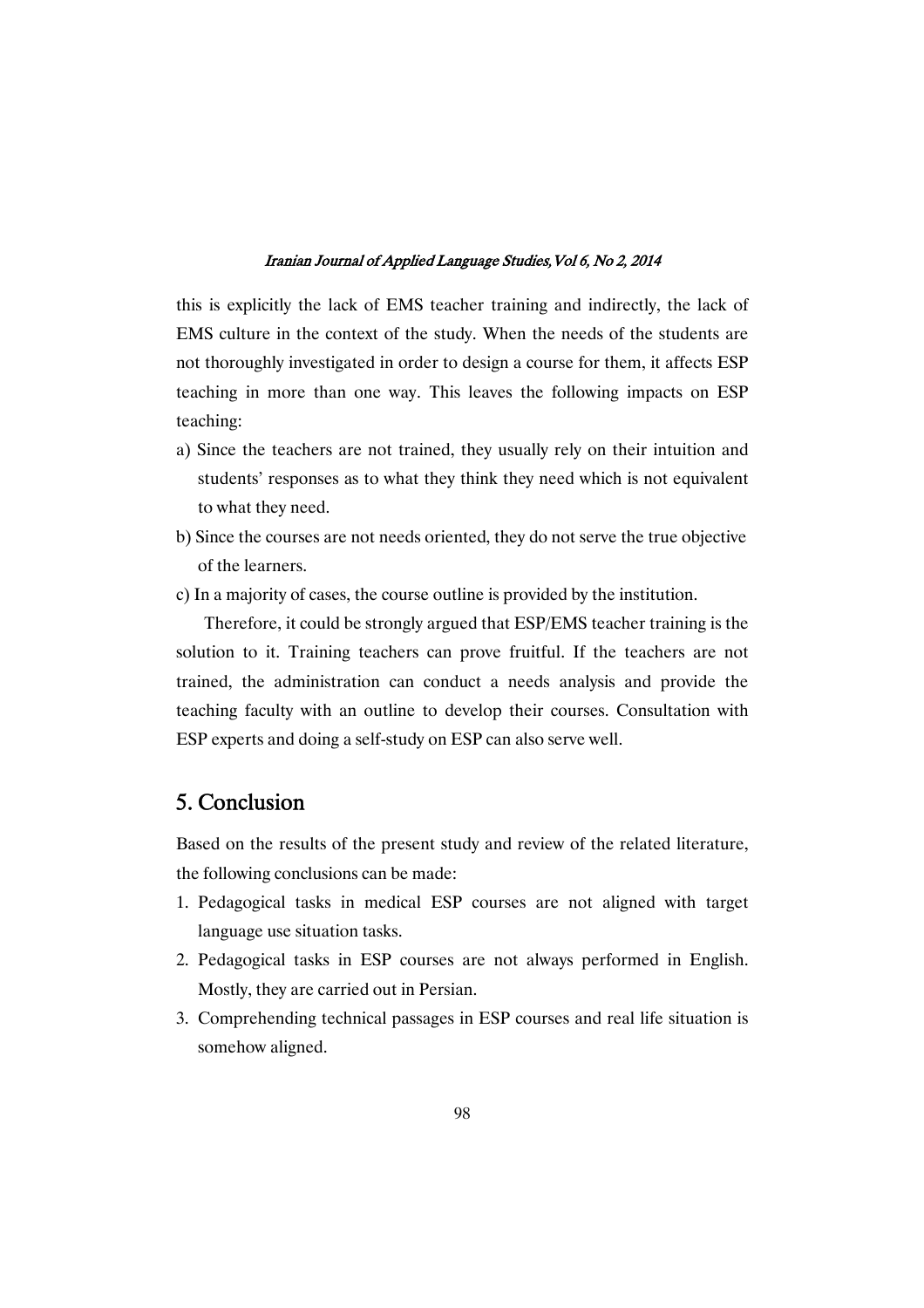this is explicitly the lack of EMS teacher training and indirectly, the lack of EMS culture in the context of the study. When the needs of the students are not thoroughly investigated in order to design a course for them, it affects ESP teaching in more than one way. This leaves the following impacts on ESP teaching:

- a) Since the teachers are not trained, they usually rely on their intuition and students' responses as to what they think they need which is not equivalent to what they need.
- b) Since the courses are not needs oriented, they do not serve the true objective of the learners.
- c) In a majority of cases, the course outline is provided by the institution.

Therefore, it could be strongly argued that ESP/EMS teacher training is the solution to it. Training teachers can prove fruitful. If the teachers are not trained, the administration can conduct a needs analysis and provide the teaching faculty with an outline to develop their courses. Consultation with ESP experts and doing a self-study on ESP can also serve well.

# 5.Conclusion

Based on the results of the present study and review of the related literature, the following conclusions can be made:

- 1. Pedagogical tasks in medical ESP courses are not aligned with target language use situation tasks.
- 2. Pedagogical tasks in ESP courses are not always performed in English. Mostly, they are carried out in Persian.
- 3. Comprehending technical passages in ESP courses and real life situation is somehow aligned.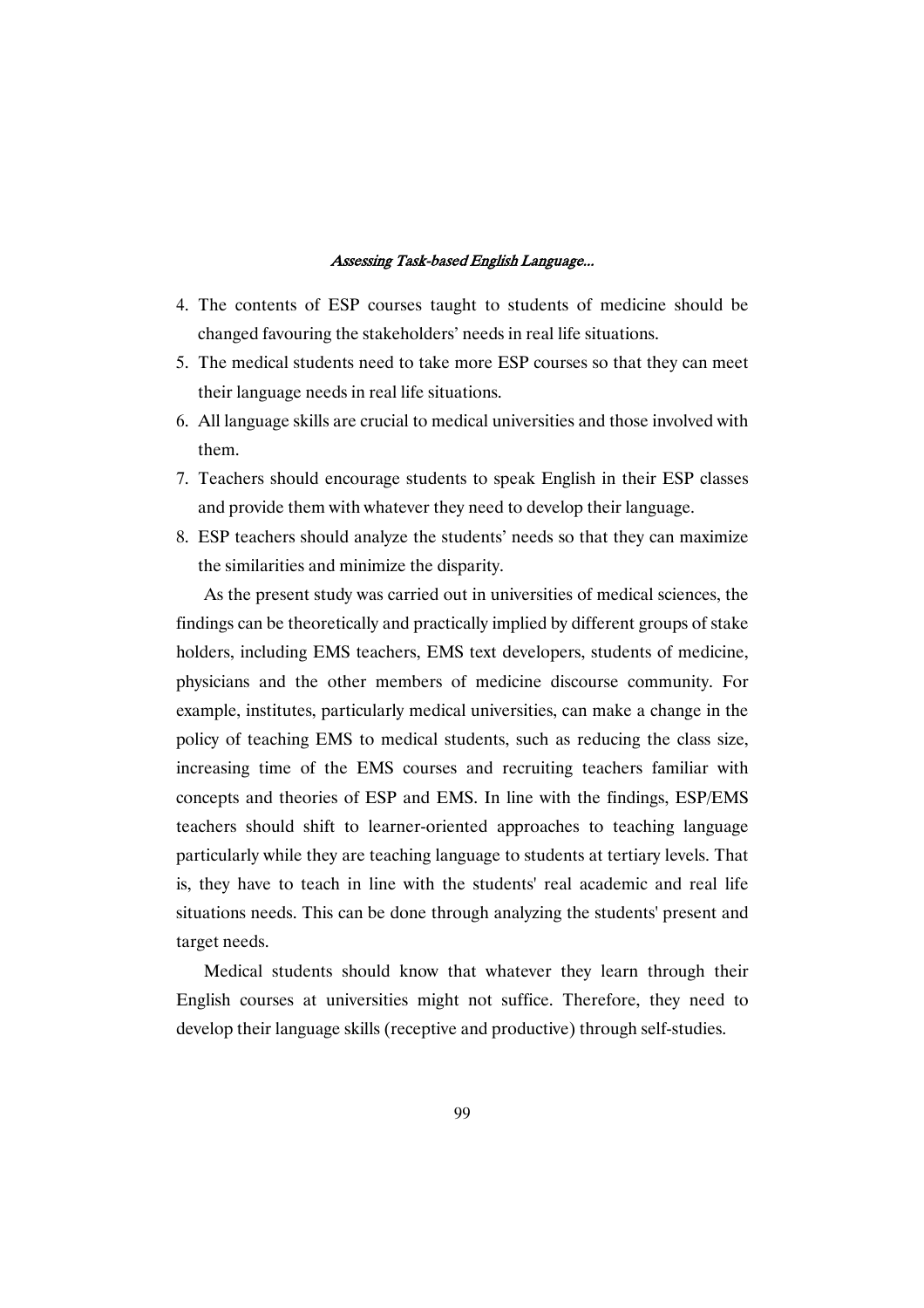- 4. The contents of ESP courses taught to students of medicine should be changed favouring the stakeholders' needs in real life situations.
- 5. The medical students need to take more ESP courses so that they can meet their language needs in real life situations.
- 6. All language skills are crucial to medical universities and those involved with them.
- 7. Teachers should encourage students to speak English in their ESP classes and provide them with whatever they need to develop their language.
- 8. ESP teachers should analyze the students' needs so that they can maximize the similarities and minimize the disparity.

As the present study was carried out in universities of medical sciences, the findings can be theoretically and practically implied by different groups of stake holders, including EMS teachers, EMS text developers, students of medicine, physicians and the other members of medicine discourse community. For example, institutes, particularly medical universities, can make a change in the policy of teaching EMS to medical students, such as reducing the class size, increasing time of the EMS courses and recruiting teachers familiar with concepts and theories of ESP and EMS. In line with the findings, ESP/EMS teachers should shift to learner-oriented approaches to teaching language particularly while they are teaching language to students at tertiary levels. That is, they have to teach in line with the students' real academic and real life situations needs. This can be done through analyzing the students' present and target needs.

Medical students should know that whatever they learn through their English courses at universities might not suffice. Therefore, they need to develop their language skills (receptive and productive) through self-studies.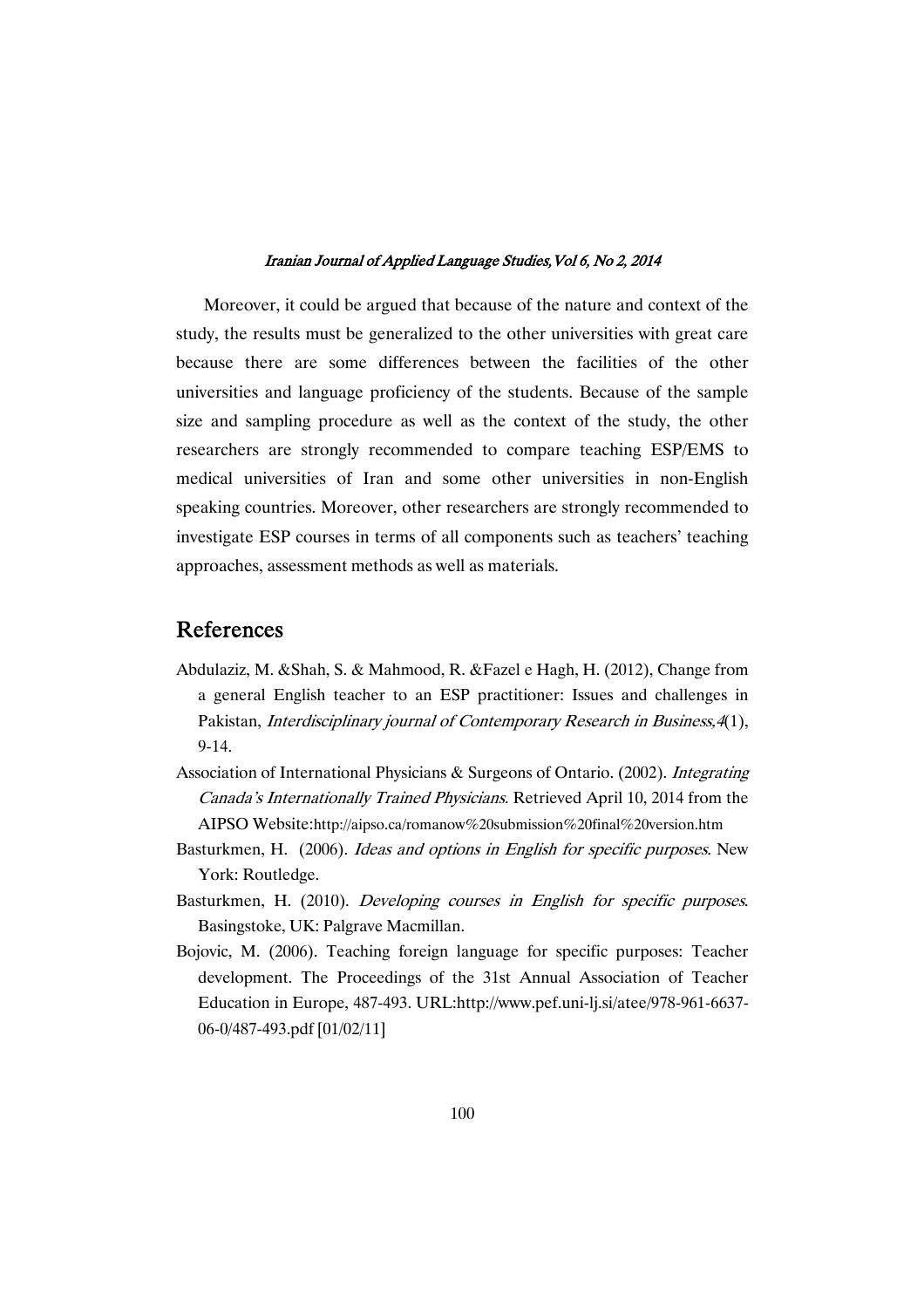Moreover, it could be argued that because of the nature and context of the study, the results must be generalized to the other universities with great care because there are some differences between the facilities of the other universities and language proficiency of the students. Because of the sample size and sampling procedure as well as the context of the study, the other researchers are strongly recommended to compare teaching ESP/EMS to medical universities of Iran and some other universities in non-English speaking countries. Moreover, other researchers are strongly recommended to investigate ESP courses in terms of all components such as teachers' teaching approaches, assessment methods as well as materials.

# References

- Abdulaziz, M. &Shah, S. & Mahmood, R. &Fazel e Hagh, H. (2012), Change from a general English teacher to an ESP practitioner: Issues and challenges in Pakistan, Interdisciplinary journal of Contemporary Research in Business,4(1), 9-14.
- Association of International Physicians & Surgeons of Ontario. (2002). Integrating Canada's Internationally Trained Physicians. Retrieved April 10, 2014 from the AIPSO Website:http://aipso.ca/romanow%20submission%20final%20version.htm
- Basturkmen, H. (2006). Ideas and options in English for specific purposes. New York: Routledge.
- Basturkmen, H. (2010). Developing courses in English for specific purposes. Basingstoke, UK: Palgrave Macmillan.
- Bojovic, M. (2006). Teaching foreign language for specific purposes: Teacher development. The Proceedings of the 31st Annual Association of Teacher Education in Europe, 487-493. URL:http://www.pef.uni-lj.si/atee/978-961-6637- 06-0/487-493.pdf [01/02/11]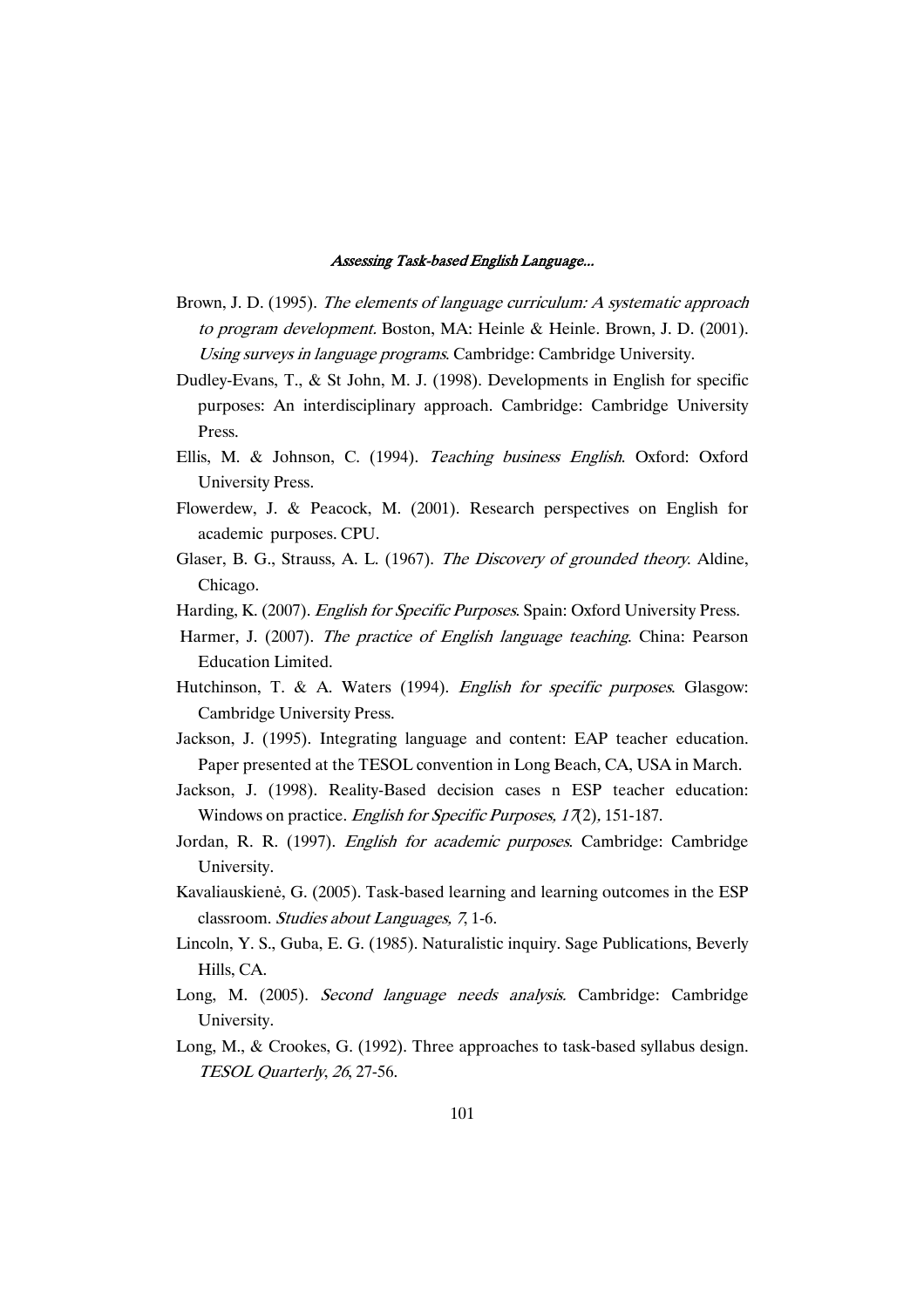- Brown, J. D. (1995). The elements of language curriculum: <sup>A</sup> systematic approach to program development. Boston, MA: Heinle & Heinle. Brown, J. D. (2001). Using surveys in language programs. Cambridge: Cambridge University.
- Dudley-Evans, T., & St John, M. J. (1998). Developments in English for specific purposes: An interdisciplinary approach. Cambridge: Cambridge University Press.
- Ellis, M. & Johnson, C. (1994). Teaching business English. Oxford: Oxford University Press.
- Flowerdew, J. & Peacock, M. (2001). Research perspectives on English for academic purposes. CPU.
- Glaser, B. G., Strauss, A. L. (1967). The Discovery of grounded theory. Aldine, Chicago.
- Harding, K. (2007). *English for Specific Purposes*. Spain: Oxford University Press.
- Harmer, J. (2007). The practice of English language teaching. China: Pearson Education Limited.
- Hutchinson, T. & A. Waters (1994). English for specific purposes. Glasgow: Cambridge University Press.
- Jackson, J. (1995). Integrating language and content: EAP teacher education. Paper presented at the TESOL convention in Long Beach, CA, USA in March.
- Jackson, J. (1998). Reality-Based decision cases n ESP teacher education: Windows on practice. *English for Specific Purposes*, 17(2), 151-187.
- Jordan, R. R. (1997). *English for academic purposes*. Cambridge: Cambridge University.
- Kavaliauskienė, G. (2005). Task-based learning and learning outcomes in the ESP classroom. Studies about Languages, <sup>7</sup>, 1-6.
- Lincoln, Y. S., Guba, E. G. (1985). Naturalistic inquiry. Sage Publications, Beverly Hills, CA.
- Long, M. (2005). Second language needs analysis. Cambridge: Cambridge University.
- Long, M., & Crookes, G. (1992). Three approaches to task-based syllabus design. TESOL Quarterly, <sup>26</sup>, 27-56.